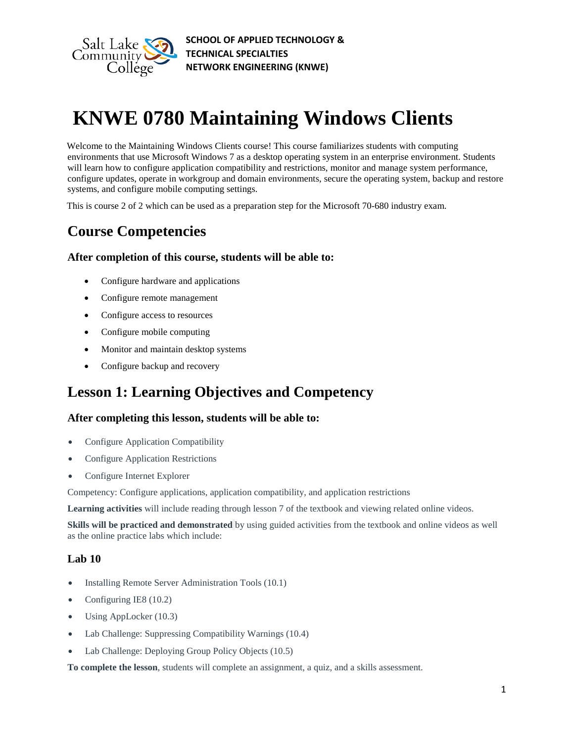

# **KNWE 0780 Maintaining Windows Clients**

Welcome to the Maintaining Windows Clients course! This course familiarizes students with computing environments that use Microsoft Windows 7 as a desktop operating system in an enterprise environment. Students will learn how to configure application compatibility and restrictions, monitor and manage system performance, configure updates, operate in workgroup and domain environments, secure the operating system, backup and restore systems, and configure mobile computing settings.

This is course 2 of 2 which can be used as a preparation step for the Microsoft 70-680 industry exam.

### **Course Competencies**

### **After completion of this course, students will be able to:**

- Configure hardware and applications
- Configure remote management
- Configure access to resources
- Configure mobile computing
- Monitor and maintain desktop systems
- Configure backup and recovery

### **Lesson 1: Learning Objectives and Competency**

### **After completing this lesson, students will be able to:**

- Configure Application Compatibility
- Configure Application Restrictions
- Configure Internet Explorer

Competency: Configure applications, application compatibility, and application restrictions

**Learning activities** will include reading through lesson 7 of the textbook and viewing related online videos.

**Skills will be practiced and demonstrated** by using guided activities from the textbook and online videos as well as the online practice labs which include:

### **Lab 10**

- Installing Remote Server Administration Tools (10.1)
- Configuring IE8 (10.2)
- Using AppLocker (10.3)
- Lab Challenge: Suppressing Compatibility Warnings (10.4)
- Lab Challenge: Deploying Group Policy Objects (10.5)

**To complete the lesson**, students will complete an assignment, a quiz, and a skills assessment.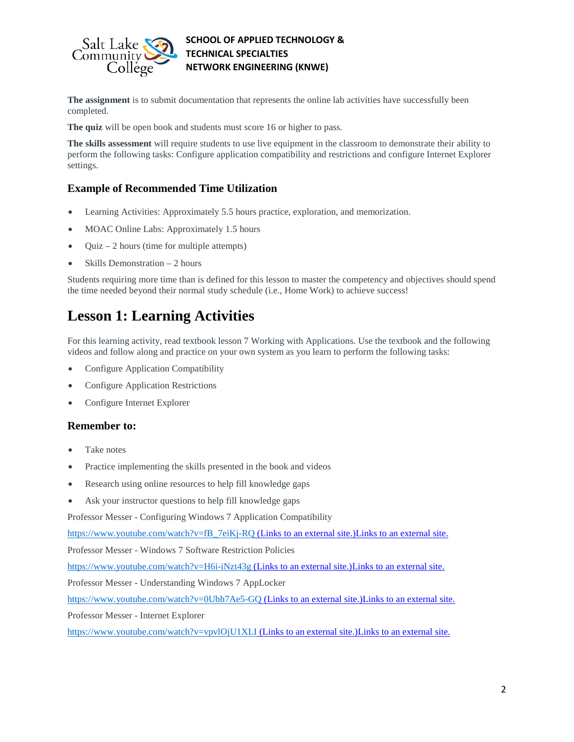

**The assignment** is to submit documentation that represents the online lab activities have successfully been completed.

**The quiz** will be open book and students must score 16 or higher to pass.

**The skills assessment** will require students to use live equipment in the classroom to demonstrate their ability to perform the following tasks: Configure application compatibility and restrictions and configure Internet Explorer settings.

### **Example of Recommended Time Utilization**

- Learning Activities: Approximately 5.5 hours practice, exploration, and memorization.
- MOAC Online Labs: Approximately 1.5 hours
- Quiz  $-2$  hours (time for multiple attempts)
- Skills Demonstration 2 hours

Students requiring more time than is defined for this lesson to master the competency and objectives should spend the time needed beyond their normal study schedule (i.e., Home Work) to achieve success!

### **Lesson 1: Learning Activities**

For this learning activity, read textbook lesson 7 Working with Applications. Use the textbook and the following videos and follow along and practice on your own system as you learn to perform the following tasks:

- Configure Application Compatibility
- Configure Application Restrictions
- Configure Internet Explorer

### **Remember to:**

- Take notes
- Practice implementing the skills presented in the book and videos
- Research using online resources to help fill knowledge gaps
- Ask your instructor questions to help fill knowledge gaps

Professor Messer - Configuring Windows 7 Application Compatibility

[https://www.youtube.com/watch?v=fB\\_7eiKj-RQ](https://www.youtube.com/watch?v=fB_7eiKj-RQ) (Links to an external site[.](https://www.youtube.com/watch?v=fB_7eiKj-RQ))Links to an external site.

Professor Messer - Windows 7 Software Restriction Policies

<https://www.youtube.com/watch?v=H6i-iNzt43g> (Links to an external site[.](https://www.youtube.com/watch?v=H6i-iNzt43g))Links to an external site.

Professor Messer - Understanding Windows 7 AppLocker

<https://www.youtube.com/watch?v=0Ubh7Ae5-GQ> (Links to an external site[.](https://www.youtube.com/watch?v=0Ubh7Ae5-GQ))Links to an external site.

Professor Messer - Internet Explorer

<https://www.youtube.com/watch?v=vpvlOjU1XLI> (Links to an external site.)Links to an external site.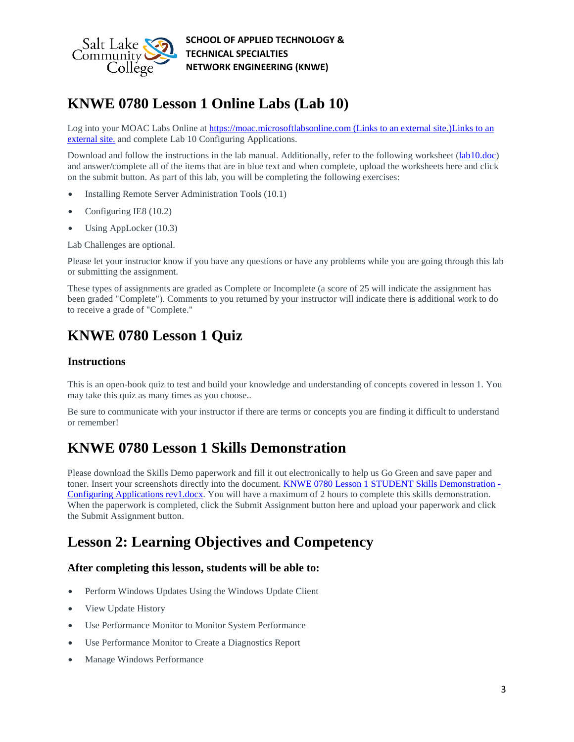

# **KNWE 0780 Lesson 1 Online Labs (Lab 10)**

Log into your MOAC Labs Online at [https://moac.microsoftlabsonline.com](https://moac.microsoftlabsonline.com/) (Links to an external site.)Links to an [external](https://moac.microsoftlabsonline.com/) site. and complete Lab 10 Configuring Applications.

Download and follow the instructions in the lab manual. Additionally, refer to the following worksheet [\(lab10.doc\)](https://slcc.instructure.com/courses/450696/files/67379686/download?verifier=545MBTsUiNZWyCeAWJIxVN8kEpYbCRxL71qVl9VF&wrap=1) and answer/complete all of the items that are in blue text and when complete, upload the worksheets here and click on the submit button. As part of this lab, you will be completing the following exercises:

- Installing Remote Server Administration Tools (10.1)
- Configuring IE8 (10.2)
- Using AppLocker (10.3)

Lab Challenges are optional.

Please let your instructor know if you have any questions or have any problems while you are going through this lab or submitting the assignment.

These types of assignments are graded as Complete or Incomplete (a score of 25 will indicate the assignment has been graded "Complete"). Comments to you returned by your instructor will indicate there is additional work to do to receive a grade of "Complete."

### **KNWE 0780 Lesson 1 Quiz**

#### **Instructions**

This is an open-book quiz to test and build your knowledge and understanding of concepts covered in lesson 1. You may take this quiz as many times as you choose..

Be sure to communicate with your instructor if there are terms or concepts you are finding it difficult to understand or remember!

### **KNWE 0780 Lesson 1 Skills Demonstration**

Please download the Skills Demo paperwork and fill it out electronically to help us Go Green and save paper and toner. Insert your screenshots directly into the document. [KNWE 0780 Lesson 1 STUDENT Skills Demonstration -](https://slcc.instructure.com/courses/450696/files/72447708/download?verifier=2SVD5LGYkf74KNaOktwXEPRtc0DNbLWUUVgjQjeB&wrap=1) [Configuring Applications rev1.docx.](https://slcc.instructure.com/courses/450696/files/72447708/download?verifier=2SVD5LGYkf74KNaOktwXEPRtc0DNbLWUUVgjQjeB&wrap=1) You will have a maximum of 2 hours to complete this skills demonstration. When the paperwork is completed, click the Submit Assignment button here and upload your paperwork and click the Submit Assignment button.

### **Lesson 2: Learning Objectives and Competency**

### **After completing this lesson, students will be able to:**

- Perform Windows Updates Using the Windows Update Client
- View Update History
- Use Performance Monitor to Monitor System Performance
- Use Performance Monitor to Create a Diagnostics Report
- Manage Windows Performance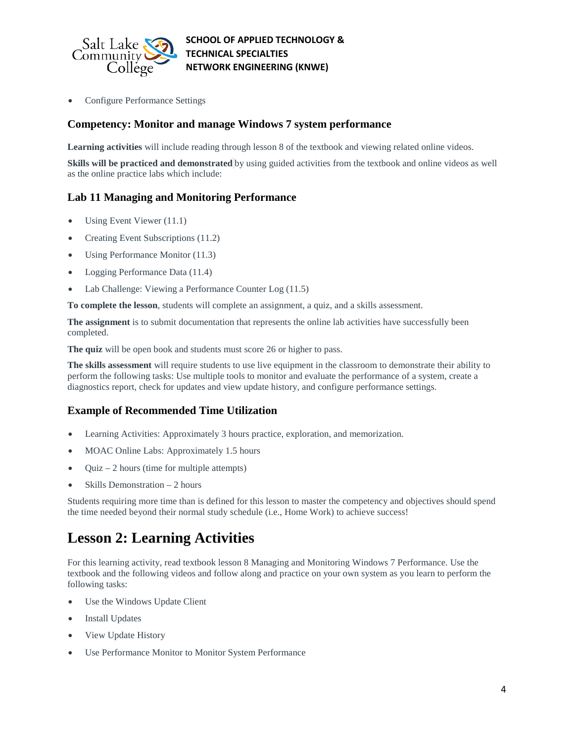

• Configure Performance Settings

### **Competency: Monitor and manage Windows 7 system performance**

Learning activities will include reading through lesson 8 of the textbook and viewing related online videos.

**Skills will be practiced and demonstrated** by using guided activities from the textbook and online videos as well as the online practice labs which include:

### **Lab 11 Managing and Monitoring Performance**

- Using Event Viewer (11.1)
- Creating Event Subscriptions (11.2)
- Using Performance Monitor (11.3)
- Logging Performance Data (11.4)
- Lab Challenge: Viewing a Performance Counter Log (11.5)

**To complete the lesson**, students will complete an assignment, a quiz, and a skills assessment.

**The assignment** is to submit documentation that represents the online lab activities have successfully been completed.

**The quiz** will be open book and students must score 26 or higher to pass.

**The skills assessment** will require students to use live equipment in the classroom to demonstrate their ability to perform the following tasks: Use multiple tools to monitor and evaluate the performance of a system, create a diagnostics report, check for updates and view update history, and configure performance settings.

### **Example of Recommended Time Utilization**

- Learning Activities: Approximately 3 hours practice, exploration, and memorization.
- MOAC Online Labs: Approximately 1.5 hours
- Quiz 2 hours (time for multiple attempts)
- Skills Demonstration  $-2$  hours

Students requiring more time than is defined for this lesson to master the competency and objectives should spend the time needed beyond their normal study schedule (i.e., Home Work) to achieve success!

# **Lesson 2: Learning Activities**

For this learning activity, read textbook lesson 8 Managing and Monitoring Windows 7 Performance. Use the textbook and the following videos and follow along and practice on your own system as you learn to perform the following tasks:

- Use the Windows Update Client
- **Install Updates**
- View Update History
- Use Performance Monitor to Monitor System Performance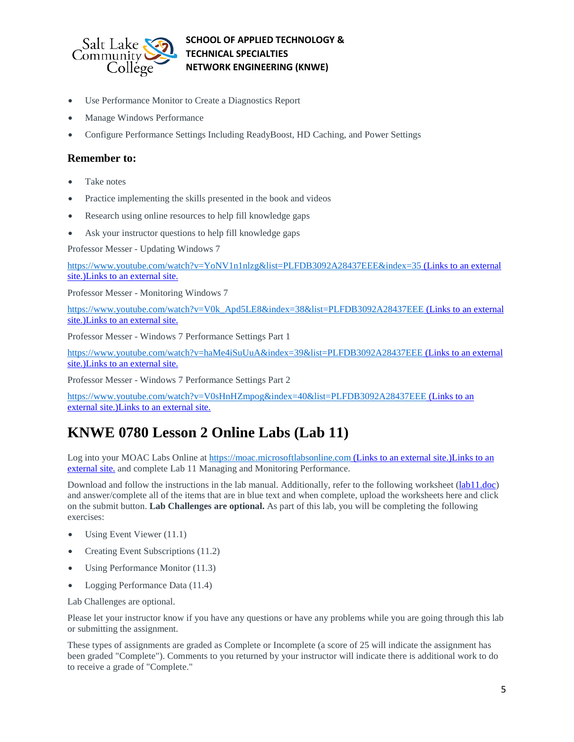

- Use Performance Monitor to Create a Diagnostics Report
- Manage Windows Performance
- Configure Performance Settings Including ReadyBoost, HD Caching, and Power Settings

#### **Remember to:**

- Take notes
- Practice implementing the skills presented in the book and videos
- Research using online resources to help fill knowledge gaps
- Ask your instructor questions to help fill knowledge gaps

Professor Messer - Updating Windows 7

<https://www.youtube.com/watch?v=YoNV1n1nlzg&list=PLFDB3092A28437EEE&index=35> (Links to an external [site.\)Links](https://www.youtube.com/watch?v=YoNV1n1nlzg&list=PLFDB3092A28437EEE&index=35) to an external site.

Professor Messer - Monitoring Windows 7

[https://www.youtube.com/watch?v=V0k\\_Apd5LE8&index=38&list=PLFDB3092A28437EEE](https://www.youtube.com/watch?v=V0k_Apd5LE8&index=38&list=PLFDB3092A28437EEE) (Links to an external [site.\)Links](https://www.youtube.com/watch?v=V0k_Apd5LE8&index=38&list=PLFDB3092A28437EEE) to an external site.

Professor Messer - Windows 7 Performance Settings Part 1

<https://www.youtube.com/watch?v=haMe4iSuUuA&index=39&list=PLFDB3092A28437EEE> (Links to an external [site.\)Links](https://www.youtube.com/watch?v=haMe4iSuUuA&index=39&list=PLFDB3092A28437EEE) to an external site.

Professor Messer - Windows 7 Performance Settings Part 2

<https://www.youtube.com/watch?v=V0sHnHZmpog&index=40&list=PLFDB3092A28437EEE> (Links to an external [site.\)Links](https://www.youtube.com/watch?v=V0sHnHZmpog&index=40&list=PLFDB3092A28437EEE) to an external site.

### **KNWE 0780 Lesson 2 Online Labs (Lab 11)**

Log into your MOAC Labs Online at [https://moac.microsoftlabsonline.com](https://moac.microsoftlabsonline.com/) (Links to an external site.)Links to an [external](https://moac.microsoftlabsonline.com/) site. and complete Lab 11 Managing and Monitoring Performance.

Download and follow the instructions in the lab manual. Additionally, refer to the following worksheet [\(lab11.doc\)](https://slcc.instructure.com/courses/450696/files/67379685/download?verifier=bktYG9U7J9j1vMOxBJRUIlrztdivwNsBPHJQ4v6F&wrap=1) and answer/complete all of the items that are in blue text and when complete, upload the worksheets here and click on the submit button. **Lab Challenges are optional.** As part of this lab, you will be completing the following exercises:

- Using Event Viewer (11.1)
- Creating Event Subscriptions (11.2)
- Using Performance Monitor (11.3)
- Logging Performance Data (11.4)

Lab Challenges are optional.

Please let your instructor know if you have any questions or have any problems while you are going through this lab or submitting the assignment.

These types of assignments are graded as Complete or Incomplete (a score of 25 will indicate the assignment has been graded "Complete"). Comments to you returned by your instructor will indicate there is additional work to do to receive a grade of "Complete."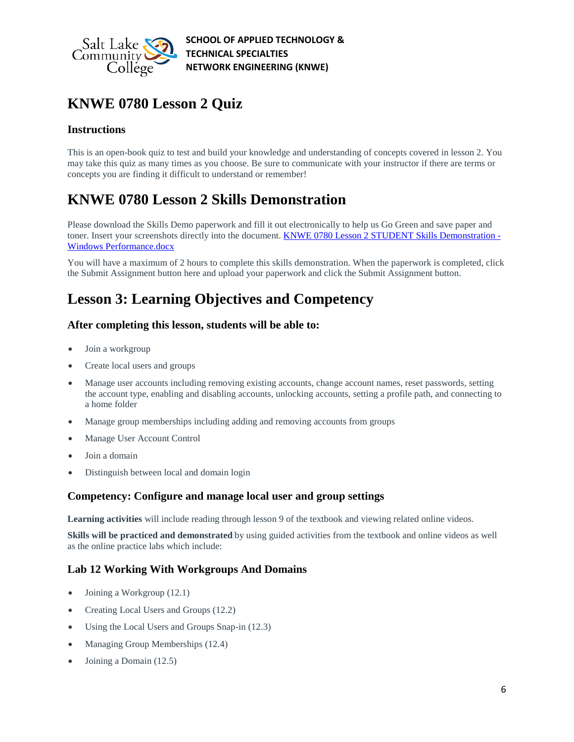

# **KNWE 0780 Lesson 2 Quiz**

### **Instructions**

This is an open-book quiz to test and build your knowledge and understanding of concepts covered in lesson 2. You may take this quiz as many times as you choose. Be sure to communicate with your instructor if there are terms or concepts you are finding it difficult to understand or remember!

# **KNWE 0780 Lesson 2 Skills Demonstration**

Please download the Skills Demo paperwork and fill it out electronically to help us Go Green and save paper and toner. Insert your screenshots directly into the document. **KNWE 0780 Lesson 2 STUDENT Skills Demonstration** -[Windows Performance.docx](https://slcc.instructure.com/courses/450696/files/72447611/download?verifier=3EVk93Sht1pUyYb3UT5LxuabSvkGRl2qs3HbHPgs&wrap=1)

You will have a maximum of 2 hours to complete this skills demonstration. When the paperwork is completed, click the Submit Assignment button here and upload your paperwork and click the Submit Assignment button.

# **Lesson 3: Learning Objectives and Competency**

### **After completing this lesson, students will be able to:**

- Join a workgroup
- Create local users and groups
- Manage user accounts including removing existing accounts, change account names, reset passwords, setting the account type, enabling and disabling accounts, unlocking accounts, setting a profile path, and connecting to a home folder
- Manage group memberships including adding and removing accounts from groups
- Manage User Account Control
- Join a domain
- Distinguish between local and domain login

### **Competency: Configure and manage local user and group settings**

**Learning activities** will include reading through lesson 9 of the textbook and viewing related online videos.

**Skills will be practiced and demonstrated** by using guided activities from the textbook and online videos as well as the online practice labs which include:

### **Lab 12 Working With Workgroups And Domains**

- Joining a Workgroup (12.1)
- Creating Local Users and Groups (12.2)
- Using the Local Users and Groups Snap-in (12.3)
- Managing Group Memberships (12.4)
- Joining a Domain (12.5)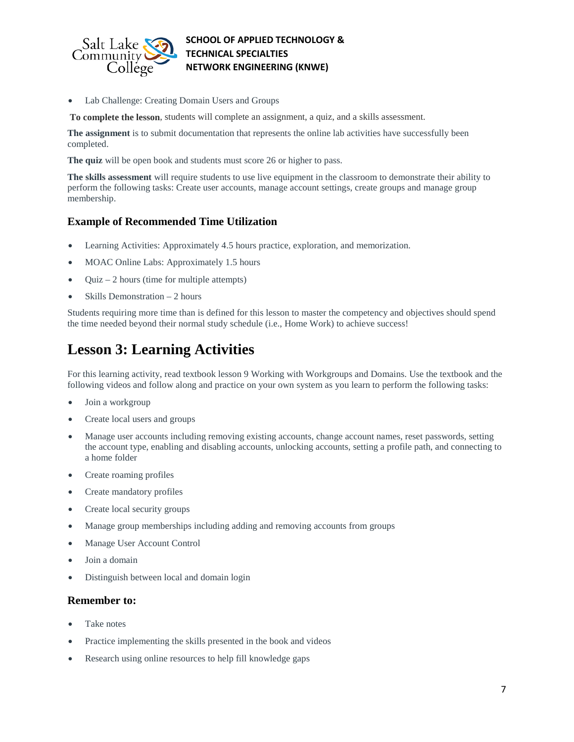

Lab Challenge: Creating Domain Users and Groups

**To complete the lesson**, students will complete an assignment, a quiz, and a skills assessment.

**The assignment** is to submit documentation that represents the online lab activities have successfully been completed.

**The quiz** will be open book and students must score 26 or higher to pass.

**The skills assessment** will require students to use live equipment in the classroom to demonstrate their ability to perform the following tasks: Create user accounts, manage account settings, create groups and manage group membership.

### **Example of Recommended Time Utilization**

- Learning Activities: Approximately 4.5 hours practice, exploration, and memorization.
- MOAC Online Labs: Approximately 1.5 hours
- $Quiz 2 hours$  (time for multiple attempts)
- Skills Demonstration  $-2$  hours

Students requiring more time than is defined for this lesson to master the competency and objectives should spend the time needed beyond their normal study schedule (i.e., Home Work) to achieve success!

### **Lesson 3: Learning Activities**

For this learning activity, read textbook lesson 9 Working with Workgroups and Domains. Use the textbook and the following videos and follow along and practice on your own system as you learn to perform the following tasks:

- Join a workgroup
- Create local users and groups
- Manage user accounts including removing existing accounts, change account names, reset passwords, setting the account type, enabling and disabling accounts, unlocking accounts, setting a profile path, and connecting to a home folder
- Create roaming profiles
- Create mandatory profiles
- Create local security groups
- Manage group memberships including adding and removing accounts from groups
- Manage User Account Control
- Join a domain
- Distinguish between local and domain login

### **Remember to:**

- Take notes
- Practice implementing the skills presented in the book and videos
- Research using online resources to help fill knowledge gaps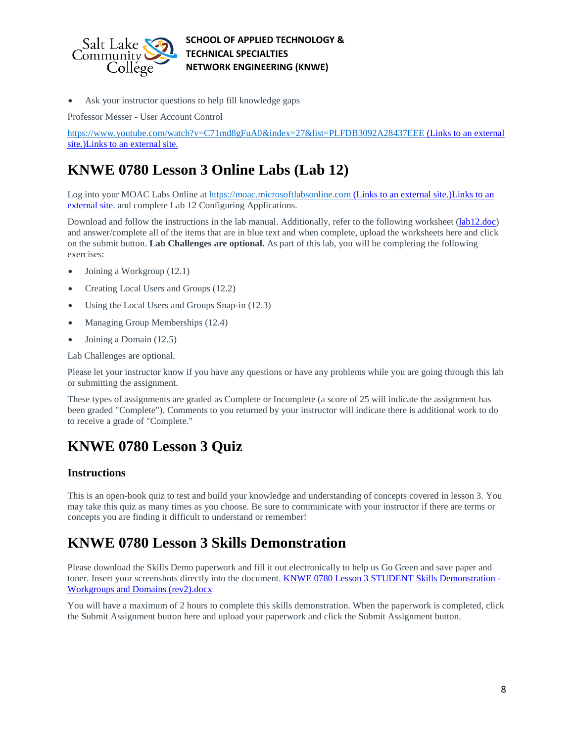

Ask your instructor questions to help fill knowledge gaps

Professor Messer - User Account Control

<https://www.youtube.com/watch?v=C71md8gFuA0&index=27&list=PLFDB3092A28437EEE> (Links to an external [site.\)Links](https://www.youtube.com/watch?v=C71md8gFuA0&index=27&list=PLFDB3092A28437EEE) to an external site.

### **KNWE 0780 Lesson 3 Online Labs (Lab 12)**

Log into your MOAC Labs Online at [https://moac.microsoftlabsonline.com](https://moac.microsoftlabsonline.com/) (Links to an external site.)Links to an [external](https://moac.microsoftlabsonline.com/) site. and complete Lab 12 Configuring Applications.

Download and follow the instructions in the lab manual. Additionally, refer to the following worksheet [\(lab12.doc\)](https://slcc.instructure.com/courses/450696/files/67379688/download?verifier=XXZbvZAP9N95y8eAuJ148YOkgv6QNdVCYTyAncQe&wrap=1) and answer/complete all of the items that are in blue text and when complete, upload the worksheets here and click on the submit button. **Lab Challenges are optional.** As part of this lab, you will be completing the following exercises:

- Joining a Workgroup (12.1)
- Creating Local Users and Groups (12.2)
- Using the Local Users and Groups Snap-in (12.3)
- Managing Group Memberships (12.4)
- Joining a Domain (12.5)

Lab Challenges are optional.

Please let your instructor know if you have any questions or have any problems while you are going through this lab or submitting the assignment.

These types of assignments are graded as Complete or Incomplete (a score of 25 will indicate the assignment has been graded "Complete"). Comments to you returned by your instructor will indicate there is additional work to do to receive a grade of "Complete."

# **KNWE 0780 Lesson 3 Quiz**

### **Instructions**

This is an open-book quiz to test and build your knowledge and understanding of concepts covered in lesson 3. You may take this quiz as many times as you choose. Be sure to communicate with your instructor if there are terms or concepts you are finding it difficult to understand or remember!

### **KNWE 0780 Lesson 3 Skills Demonstration**

Please download the Skills Demo paperwork and fill it out electronically to help us Go Green and save paper and toner. Insert your screenshots directly into the document. [KNWE 0780 Lesson 3 STUDENT Skills Demonstration -](https://slcc.instructure.com/courses/450696/files/67379647/download?verifier=zhqEKmATSS8POJ5KKl9tJiGFWEuI3MnxhOB3BuRB&wrap=1) [Workgroups and Domains \(rev2\).docx](https://slcc.instructure.com/courses/450696/files/67379647/download?verifier=zhqEKmATSS8POJ5KKl9tJiGFWEuI3MnxhOB3BuRB&wrap=1)

You will have a maximum of 2 hours to complete this skills demonstration. When the paperwork is completed, click the Submit Assignment button here and upload your paperwork and click the Submit Assignment button.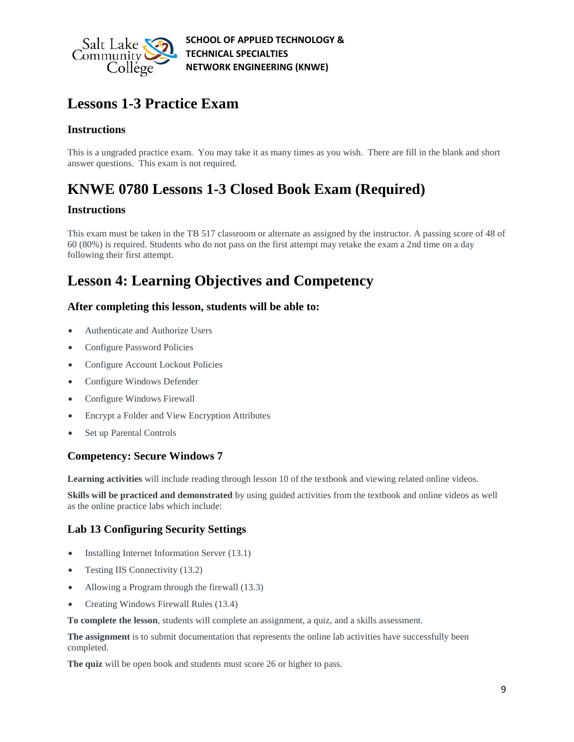

### **Lessons 1-3 Practice Exam**

### **Instructions**

This is a ungraded practice exam. You may take it as many times as you wish. There are fill in the blank and short answer questions. This exam is not required.

# **KNWE 0780 Lessons 1-3 Closed Book Exam (Required)**

### **Instructions**

This exam must be taken in the TB 517 classroom or alternate as assigned by the instructor. A passing score of 48 of 60 (80%) is required. Students who do not pass on the first attempt may retake the exam a 2nd time on a day following their first attempt.

# **Lesson 4: Learning Objectives and Competency**

### **After completing this lesson, students will be able to:**

- Authenticate and Authorize Users
- Configure Password Policies
- Configure Account Lockout Policies
- Configure Windows Defender
- Configure Windows Firewall
- Encrypt a Folder and View Encryption Attributes
- Set up Parental Controls

### **Competency: Secure Windows 7**

**Learning activities** will include reading through lesson 10 of the textbook and viewing related online videos.

**Skills will be practiced and demonstrated** by using guided activities from the textbook and online videos as well as the online practice labs which include:

### **Lab 13 Configuring Security Settings**

- Installing Internet Information Server (13.1)
- Testing IIS Connectivity (13.2)
- Allowing a Program through the firewall (13.3)
- Creating Windows Firewall Rules (13.4)

**To complete the lesson**, students will complete an assignment, a quiz, and a skills assessment.

**The assignment** is to submit documentation that represents the online lab activities have successfully been completed.

**The quiz** will be open book and students must score 26 or higher to pass.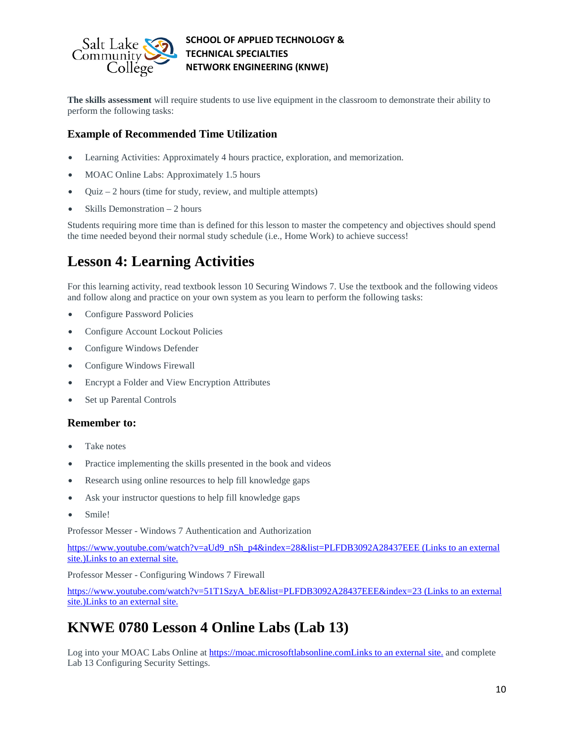

**The skills assessment** will require students to use live equipment in the classroom to demonstrate their ability to perform the following tasks:

### **Example of Recommended Time Utilization**

- Learning Activities: Approximately 4 hours practice, exploration, and memorization.
- MOAC Online Labs: Approximately 1.5 hours
- $Quiz 2 hours$  (time for study, review, and multiple attempts)
- Skills Demonstration 2 hours

Students requiring more time than is defined for this lesson to master the competency and objectives should spend the time needed beyond their normal study schedule (i.e., Home Work) to achieve success!

# **Lesson 4: Learning Activities**

For this learning activity, read textbook lesson 10 Securing Windows 7. Use the textbook and the following videos and follow along and practice on your own system as you learn to perform the following tasks:

- Configure Password Policies
- Configure Account Lockout Policies
- Configure Windows Defender
- Configure Windows Firewall
- Encrypt a Folder and View Encryption Attributes
- Set up Parental Controls

### **Remember to:**

- Take notes
- Practice implementing the skills presented in the book and videos
- Research using online resources to help fill knowledge gaps
- Ask your instructor questions to help fill knowledge gaps
- Smile!

Professor Messer - Windows 7 Authentication and Authorization

[https://www.youtube.com/watch?v=aUd9\\_nSh\\_p4&index=28&list=PLFDB3092A28437EEE](https://www.youtube.com/watch?v=aUd9_nSh_p4&index=28&list=PLFDB3092A28437EEE) (Links to an external [site.\)Links](https://www.youtube.com/watch?v=aUd9_nSh_p4&index=28&list=PLFDB3092A28437EEE) to an external site.

Professor Messer - Configuring Windows 7 Firewall

[https://www.youtube.com/watch?v=51T1SzyA\\_bE&list=PLFDB3092A28437EEE&index=23](https://www.youtube.com/watch?v=51T1SzyA_bE&list=PLFDB3092A28437EEE&index=23) (Links to an external [site.\)Links](https://www.youtube.com/watch?v=51T1SzyA_bE&list=PLFDB3092A28437EEE&index=23) to an external site.

# **KNWE 0780 Lesson 4 Online Labs (Lab 13)**

Log into your MOAC Labs Online at [https://moac.microsoftlabsonline.comLinks](https://moac.microsoftlabsonline.com/) to an external site. and complete Lab 13 Configuring Security Settings.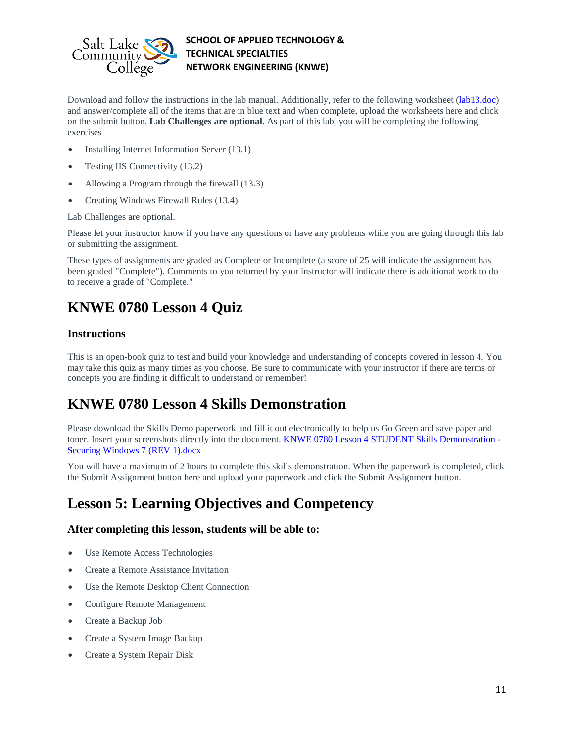

Download and follow the instructions in the lab manual. Additionally, refer to the following worksheet [\(lab13.doc\)](https://slcc.instructure.com/courses/450696/files/67379682/download?verifier=HKsxQYxVxyDrPtGenrN5FStC8IJrZ2UuH9vQ1OoD&wrap=1) and answer/complete all of the items that are in blue text and when complete, upload the worksheets here and click on the submit button. **Lab Challenges are optional.** As part of this lab, you will be completing the following exercises

- Installing Internet Information Server (13.1)
- Testing IIS Connectivity (13.2)
- Allowing a Program through the firewall (13.3)
- Creating Windows Firewall Rules (13.4)

Lab Challenges are optional.

Please let your instructor know if you have any questions or have any problems while you are going through this lab or submitting the assignment.

These types of assignments are graded as Complete or Incomplete (a score of 25 will indicate the assignment has been graded "Complete"). Comments to you returned by your instructor will indicate there is additional work to do to receive a grade of "Complete."

# **KNWE 0780 Lesson 4 Quiz**

### **Instructions**

This is an open-book quiz to test and build your knowledge and understanding of concepts covered in lesson 4. You may take this quiz as many times as you choose. Be sure to communicate with your instructor if there are terms or concepts you are finding it difficult to understand or remember!

### **KNWE 0780 Lesson 4 Skills Demonstration**

Please download the Skills Demo paperwork and fill it out electronically to help us Go Green and save paper and toner. Insert your screenshots directly into the document. [KNWE 0780 Lesson 4 STUDENT Skills Demonstration -](https://slcc.instructure.com/courses/450696/files/67379654/download?verifier=WBdspGbIQpEhrwWeyDhl67UBETxlRzkznPmRgJD3&wrap=1) [Securing Windows 7 \(REV 1\).docx](https://slcc.instructure.com/courses/450696/files/67379654/download?verifier=WBdspGbIQpEhrwWeyDhl67UBETxlRzkznPmRgJD3&wrap=1)

You will have a maximum of 2 hours to complete this skills demonstration. When the paperwork is completed, click the Submit Assignment button here and upload your paperwork and click the Submit Assignment button.

### **Lesson 5: Learning Objectives and Competency**

### **After completing this lesson, students will be able to:**

- Use Remote Access Technologies
- Create a Remote Assistance Invitation
- Use the Remote Desktop Client Connection
- Configure Remote Management
- Create a Backup Job
- Create a System Image Backup
- Create a System Repair Disk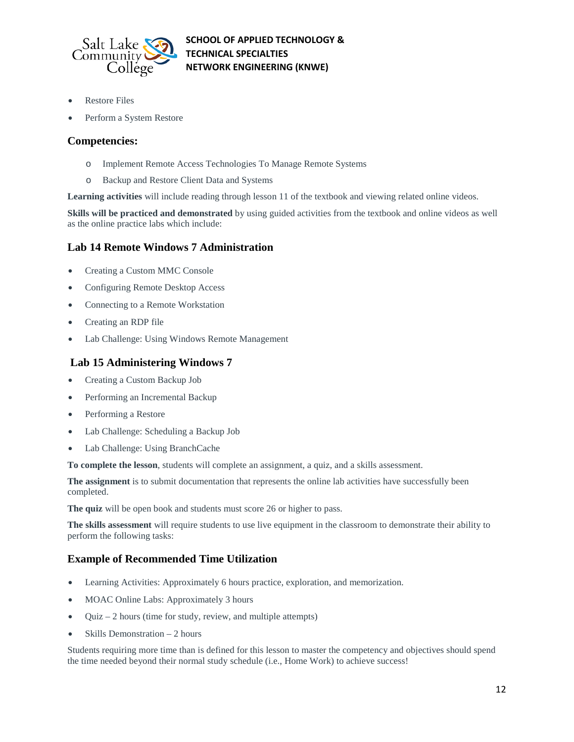

- Restore Files
- Perform a System Restore

### **Competencies:**

- o Implement Remote Access Technologies To Manage Remote Systems
- o Backup and Restore Client Data and Systems

**Learning activities** will include reading through lesson 11 of the textbook and viewing related online videos.

**Skills will be practiced and demonstrated** by using guided activities from the textbook and online videos as well as the online practice labs which include:

### **Lab 14 Remote Windows 7 Administration**

- Creating a Custom MMC Console
- Configuring Remote Desktop Access
- Connecting to a Remote Workstation
- Creating an RDP file
- Lab Challenge: Using Windows Remote Management

### **Lab 15 Administering Windows 7**

- Creating a Custom Backup Job
- Performing an Incremental Backup
- Performing a Restore
- Lab Challenge: Scheduling a Backup Job
- Lab Challenge: Using BranchCache

**To complete the lesson**, students will complete an assignment, a quiz, and a skills assessment.

**The assignment** is to submit documentation that represents the online lab activities have successfully been completed.

**The quiz** will be open book and students must score 26 or higher to pass.

**The skills assessment** will require students to use live equipment in the classroom to demonstrate their ability to perform the following tasks:

### **Example of Recommended Time Utilization**

- Learning Activities: Approximately 6 hours practice, exploration, and memorization.
- MOAC Online Labs: Approximately 3 hours
- Quiz 2 hours (time for study, review, and multiple attempts)
- Skills Demonstration 2 hours

Students requiring more time than is defined for this lesson to master the competency and objectives should spend the time needed beyond their normal study schedule (i.e., Home Work) to achieve success!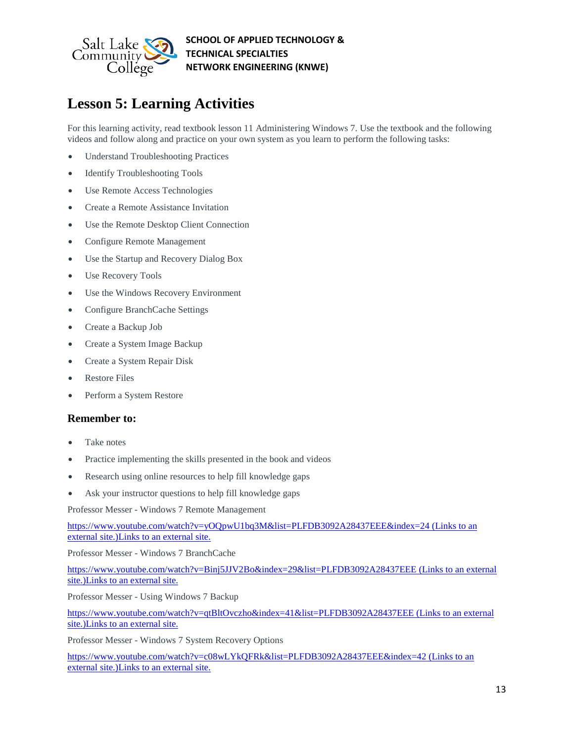

# **Lesson 5: Learning Activities**

For this learning activity, read textbook lesson 11 Administering Windows 7. Use the textbook and the following videos and follow along and practice on your own system as you learn to perform the following tasks:

- Understand Troubleshooting Practices
- Identify Troubleshooting Tools
- Use Remote Access Technologies
- Create a Remote Assistance Invitation
- Use the Remote Desktop Client Connection
- Configure Remote Management
- Use the Startup and Recovery Dialog Box
- Use Recovery Tools
- Use the Windows Recovery Environment
- Configure BranchCache Settings
- Create a Backup Job
- Create a System Image Backup
- Create a System Repair Disk
- Restore Files
- Perform a System Restore

### **Remember to:**

- Take notes
- Practice implementing the skills presented in the book and videos
- Research using online resources to help fill knowledge gaps
- Ask your instructor questions to help fill knowledge gaps

Professor Messer - Windows 7 Remote Management

<https://www.youtube.com/watch?v=yOQpwU1bq3M&list=PLFDB3092A28437EEE&index=24> (Links to an external [site.\)Links](https://www.youtube.com/watch?v=yOQpwU1bq3M&list=PLFDB3092A28437EEE&index=24) to an external site.

Professor Messer - Windows 7 BranchCache

<https://www.youtube.com/watch?v=Binj5JJV2Bo&index=29&list=PLFDB3092A28437EEE> (Links to an external [site.\)Links](https://www.youtube.com/watch?v=Binj5JJV2Bo&index=29&list=PLFDB3092A28437EEE) to an external site.

Professor Messer - Using Windows 7 Backup

<https://www.youtube.com/watch?v=qtBltOvczho&index=41&list=PLFDB3092A28437EEE> (Links to an external [site.\)Links](https://www.youtube.com/watch?v=qtBltOvczho&index=41&list=PLFDB3092A28437EEE) to an external site.

Professor Messer - Windows 7 System Recovery Options

<https://www.youtube.com/watch?v=c08wLYkQFRk&list=PLFDB3092A28437EEE&index=42> (Links to an external [site.\)Links](https://www.youtube.com/watch?v=c08wLYkQFRk&list=PLFDB3092A28437EEE&index=42) to an external site.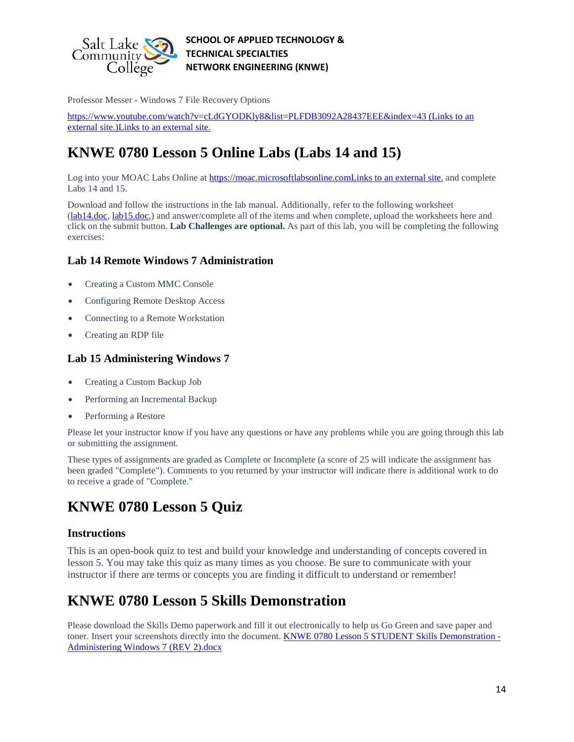

Professor Messer - Windows 7 File Recovery Options

<https://www.youtube.com/watch?v=cLdGYODKly8&list=PLFDB3092A28437EEE&index=43> (Links to an external [site.\)Links](https://www.youtube.com/watch?v=cLdGYODKly8&list=PLFDB3092A28437EEE&index=43) to an external site.

# **KNWE 0780 Lesson 5 Online Labs (Labs 14 and 15)**

Log into your MOAC Labs Online at [https://moac.microsoftlabsonline.comLinks](https://moac.microsoftlabsonline.com/) to an external site. and complete Labs 14 and 15.

Download and follow the instructions in the lab manual. Additionally, refer to the following worksheet [\(lab14.doc,](https://slcc.instructure.com/courses/450696/files/67379687/download?verifier=xfOo5JLYm0c5oTGy8fx1o0JZAkmIDq9ZEtzy5PUI&wrap=1) [lab15.doc,](https://slcc.instructure.com/courses/450696/files/67379683/download?verifier=tjli6wSEKZ5pXMzgHDjBnCTLGeKBONjybDoAXlyU&wrap=1)) and answer/complete all of the items and when complete, upload the worksheets here and click on the submit button. **Lab Challenges are optional.** As part of this lab, you will be completing the following exercises:

### **Lab 14 Remote Windows 7 Administration**

- Creating a Custom MMC Console
- Configuring Remote Desktop Access
- Connecting to a Remote Workstation
- Creating an RDP file

### **Lab 15 Administering Windows 7**

- Creating a Custom Backup Job
- Performing an Incremental Backup
- Performing a Restore

Please let your instructor know if you have any questions or have any problems while you are going through this lab or submitting the assignment.

These types of assignments are graded as Complete or Incomplete (a score of 25 will indicate the assignment has been graded "Complete"). Comments to you returned by your instructor will indicate there is additional work to do to receive a grade of "Complete."

# **KNWE 0780 Lesson 5 Quiz**

### **Instructions**

This is an open-book quiz to test and build your knowledge and understanding of concepts covered in lesson 5. You may take this quiz as many times as you choose. Be sure to communicate with your instructor if there are terms or concepts you are finding it difficult to understand or remember!

### **KNWE 0780 Lesson 5 Skills Demonstration**

Please download the Skills Demo paperwork and fill it out electronically to help us Go Green and save paper and toner. Insert your screenshots directly into the document. **KNWE 0780 Lesson 5 STUDENT Skills Demonstration** -[Administering Windows 7 \(REV 2\).docx](https://slcc.instructure.com/courses/450696/files/67379648/download?verifier=Czpza8T1fZwwiOMwXyCRpOxxIa5DWyg1Ncauc120&wrap=1)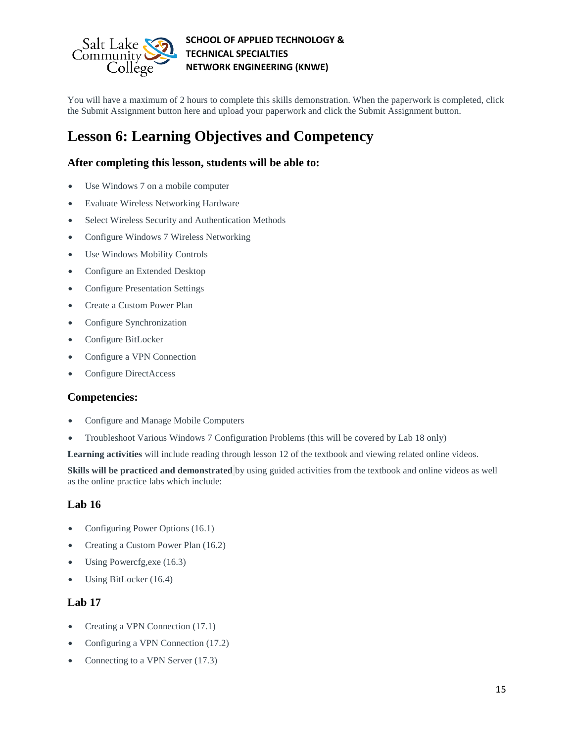

You will have a maximum of 2 hours to complete this skills demonstration. When the paperwork is completed, click the Submit Assignment button here and upload your paperwork and click the Submit Assignment button.

### **Lesson 6: Learning Objectives and Competency**

### **After completing this lesson, students will be able to:**

- Use Windows 7 on a mobile computer
- Evaluate Wireless Networking Hardware
- Select Wireless Security and Authentication Methods
- Configure Windows 7 Wireless Networking
- Use Windows Mobility Controls
- Configure an Extended Desktop
- Configure Presentation Settings
- Create a Custom Power Plan
- Configure Synchronization
- Configure BitLocker
- Configure a VPN Connection
- Configure DirectAccess

### **Competencies:**

- Configure and Manage Mobile Computers
- Troubleshoot Various Windows 7 Configuration Problems (this will be covered by Lab 18 only)

**Learning activities** will include reading through lesson 12 of the textbook and viewing related online videos.

**Skills will be practiced and demonstrated** by using guided activities from the textbook and online videos as well as the online practice labs which include:

### **Lab 16**

- Configuring Power Options (16.1)
- Creating a Custom Power Plan (16.2)
- Using Powercfg,exe (16.3)
- Using BitLocker (16.4)

### **Lab 17**

- Creating a VPN Connection (17.1)
- Configuring a VPN Connection (17.2)
- Connecting to a VPN Server (17.3)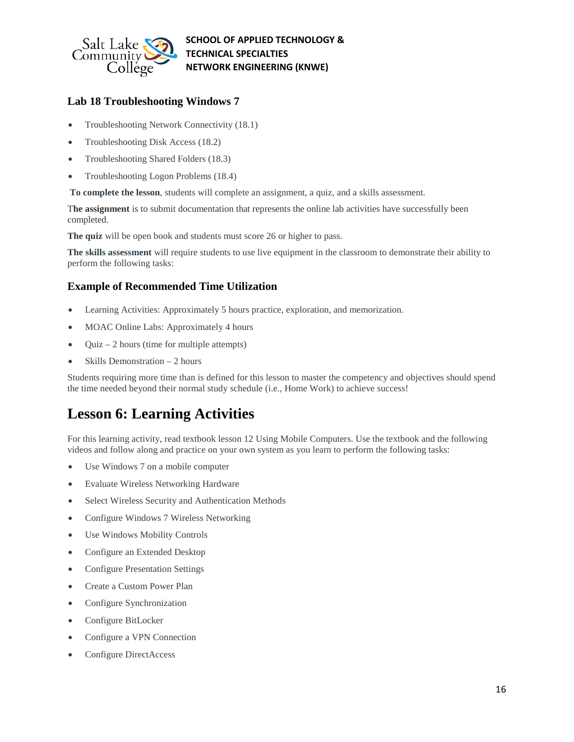

### **Lab 18 Troubleshooting Windows 7**

- Troubleshooting Network Connectivity (18.1)
- Troubleshooting Disk Access (18.2)
- Troubleshooting Shared Folders (18.3)
- Troubleshooting Logon Problems (18.4)

**To complete the lesson**, students will complete an assignment, a quiz, and a skills assessment.

T**he assignment** is to submit documentation that represents the online lab activities have successfully been completed.

**The quiz** will be open book and students must score 26 or higher to pass.

**The skills assessment** will require students to use live equipment in the classroom to demonstrate their ability to perform the following tasks:

### **Example of Recommended Time Utilization**

- Learning Activities: Approximately 5 hours practice, exploration, and memorization.
- MOAC Online Labs: Approximately 4 hours
- Quiz  $-2$  hours (time for multiple attempts)
- Skills Demonstration 2 hours

Students requiring more time than is defined for this lesson to master the competency and objectives should spend the time needed beyond their normal study schedule (i.e., Home Work) to achieve success!

### **Lesson 6: Learning Activities**

For this learning activity, read textbook lesson 12 Using Mobile Computers. Use the textbook and the following videos and follow along and practice on your own system as you learn to perform the following tasks:

- Use Windows 7 on a mobile computer
- Evaluate Wireless Networking Hardware
- Select Wireless Security and Authentication Methods
- Configure Windows 7 Wireless Networking
- Use Windows Mobility Controls
- Configure an Extended Desktop
- Configure Presentation Settings
- Create a Custom Power Plan
- Configure Synchronization
- Configure BitLocker
- Configure a VPN Connection
- Configure DirectAccess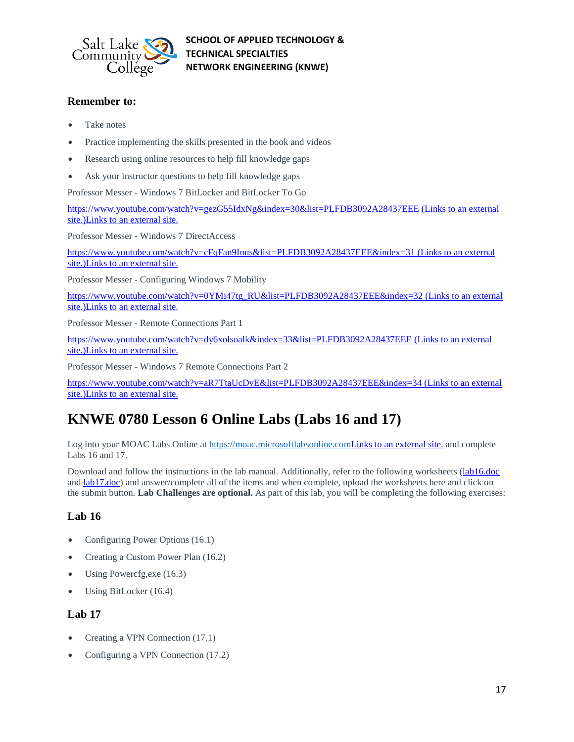

### **Remember to:**

- Take notes
- Practice implementing the skills presented in the book and videos
- Research using online resources to help fill knowledge gaps
- Ask your instructor questions to help fill knowledge gaps

Professor Messer - Windows 7 BitLocker and BitLocker To Go

<https://www.youtube.com/watch?v=gezG55IdxNg&index=30&list=PLFDB3092A28437EEE> (Links to an external [site.\)Links](https://www.youtube.com/watch?v=gezG55IdxNg&index=30&list=PLFDB3092A28437EEE) to an external site.

Professor Messer - Windows 7 DirectAccess

<https://www.youtube.com/watch?v=cFqFan9Inus&list=PLFDB3092A28437EEE&index=31> (Links to an external [site.\)Links](https://www.youtube.com/watch?v=cFqFan9Inus&list=PLFDB3092A28437EEE&index=31) to an external site.

Professor Messer - Configuring Windows 7 Mobility

[https://www.youtube.com/watch?v=0YMi47tg\\_RU&list=PLFDB3092A28437EEE&index=32](https://www.youtube.com/watch?v=0YMi47tg_RU&list=PLFDB3092A28437EEE&index=32) (Links to an external [site.\)Links](https://www.youtube.com/watch?v=0YMi47tg_RU&list=PLFDB3092A28437EEE&index=32) to an external site.

Professor Messer - Remote Connections Part 1

<https://www.youtube.com/watch?v=dy6xolsoalk&index=33&list=PLFDB3092A28437EEE> (Links to an external [site.\)Links](https://www.youtube.com/watch?v=dy6xolsoalk&index=33&list=PLFDB3092A28437EEE) to an external site.

Professor Messer - Windows 7 Remote Connections Part 2

<https://www.youtube.com/watch?v=aR7TtaUcDvE&list=PLFDB3092A28437EEE&index=34> (Links to an external [site.\)Links](https://www.youtube.com/watch?v=aR7TtaUcDvE&list=PLFDB3092A28437EEE&index=34) to an external site.

### **KNWE 0780 Lesson 6 Online Labs (Labs 16 and 17)**

Log into your MOAC Labs Online at [https://moac.microsoftlabsonline.comLinks](https://moac.microsoftlabsonline.com/) to an external site. and complete Labs 16 and 17.

Download and follow the instructions in the lab manual. Additionally, refer to the following worksheets [\(lab16.doc](https://slcc.instructure.com/courses/450696/files/67379681/download?verifier=ei7Lyu6YAmllpRsNjeDQFh6apfCxUUq09d4B8Ies&wrap=1) and [lab17.doc\)](https://slcc.instructure.com/courses/450696/files/67379689/download?verifier=VJ5YGO7rs39QgkWnrxcGACXYplsSiJ5zIJdjBEdC&wrap=1) and answer/complete all of the items and when complete, upload the worksheets here and click on the submit button. **Lab Challenges are optional.** As part of this lab, you will be completing the following exercises:

### **Lab 16**

- Configuring Power Options (16.1)
- Creating a Custom Power Plan (16.2)
- Using Powercfg, exe (16.3)
- Using BitLocker (16.4)

### **Lab 17**

- Creating a VPN Connection (17.1)
- Configuring a VPN Connection (17.2)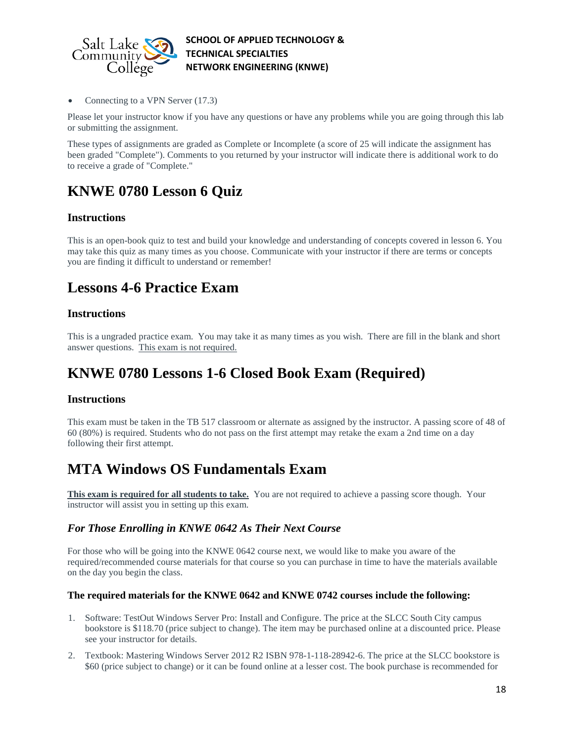

Connecting to a VPN Server (17.3)

Please let your instructor know if you have any questions or have any problems while you are going through this lab or submitting the assignment.

These types of assignments are graded as Complete or Incomplete (a score of 25 will indicate the assignment has been graded "Complete"). Comments to you returned by your instructor will indicate there is additional work to do to receive a grade of "Complete."

# **KNWE 0780 Lesson 6 Quiz**

### **Instructions**

This is an open-book quiz to test and build your knowledge and understanding of concepts covered in lesson 6. You may take this quiz as many times as you choose. Communicate with your instructor if there are terms or concepts you are finding it difficult to understand or remember!

### **Lessons 4-6 Practice Exam**

### **Instructions**

This is a ungraded practice exam. You may take it as many times as you wish. There are fill in the blank and short answer questions. This exam is not required.

### **KNWE 0780 Lessons 1-6 Closed Book Exam (Required)**

### **Instructions**

This exam must be taken in the TB 517 classroom or alternate as assigned by the instructor. A passing score of 48 of 60 (80%) is required. Students who do not pass on the first attempt may retake the exam a 2nd time on a day following their first attempt.

### **MTA Windows OS Fundamentals Exam**

**This exam is required for all students to take.** You are not required to achieve a passing score though. Your instructor will assist you in setting up this exam.

### *For Those Enrolling in KNWE 0642 As Their Next Course*

For those who will be going into the KNWE 0642 course next, we would like to make you aware of the required/recommended course materials for that course so you can purchase in time to have the materials available on the day you begin the class.

#### **The required materials for the KNWE 0642 and KNWE 0742 courses include the following:**

- 1. Software: TestOut Windows Server Pro: Install and Configure. The price at the SLCC South City campus bookstore is \$118.70 (price subject to change). The item may be purchased online at a discounted price. Please see your instructor for details.
- 2. Textbook: Mastering Windows Server 2012 R2 ISBN 978-1-118-28942-6. The price at the SLCC bookstore is \$60 (price subject to change) or it can be found online at a lesser cost. The book purchase is recommended for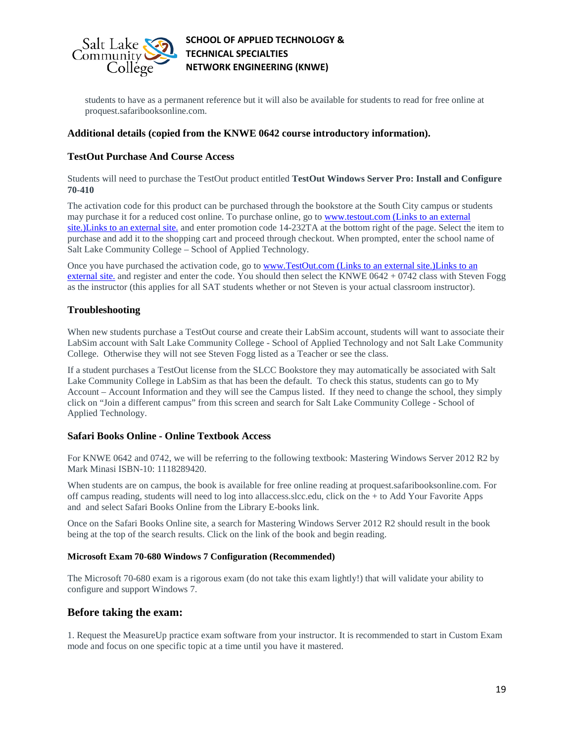

students to have as a permanent reference but it will also be available for students to read for free online at proquest.safaribooksonline.com.

#### **Additional details (copied from the KNWE 0642 course introductory information).**

#### **TestOut Purchase And Course Access**

Students will need to purchase the TestOut product entitled **TestOut Windows Server Pro: Install and Configure 70-410**

The activation code for this product can be purchased through the bookstore at the South City campus or students may purchase it for a reduced cost online. To purchase online, go to [www.testout.com](http://www.testout.com/) (Links to an external [site.\)Links](http://www.testout.com/) to an external site. and enter promotion code 14-232TA at the bottom right of the page. Select the item to purchase and add it to the shopping cart and proceed through checkout. When prompted, enter the school name of Salt Lake Community College – School of Applied Technology.

Once you have purchased the activation code, go to [www.TestOut.com](http://www.testout.com/) (Links to an external site.)Links to an [external](http://www.testout.com/) site. and register and enter the code. You should then select the KNWE 0642 + 0742 class with Steven Fogg as the instructor (this applies for all SAT students whether or not Steven is your actual classroom instructor).

#### **Troubleshooting**

When new students purchase a TestOut course and create their LabSim account, students will want to associate their LabSim account with Salt Lake Community College - School of Applied Technology and not Salt Lake Community College. Otherwise they will not see Steven Fogg listed as a Teacher or see the class.

If a student purchases a TestOut license from the SLCC Bookstore they may automatically be associated with Salt Lake Community College in LabSim as that has been the default. To check this status, students can go to My Account – Account Information and they will see the Campus listed. If they need to change the school, they simply click on "Join a different campus" from this screen and search for Salt Lake Community College - School of Applied Technology.

#### **Safari Books Online - Online Textbook Access**

For KNWE 0642 and 0742, we will be referring to the following textbook: Mastering Windows Server 2012 R2 by Mark Minasi ISBN-10: 1118289420.

When students are on campus, the book is available for free online reading at proquest.safaribooksonline.com. For off campus reading, students will need to log into allaccess.slcc.edu, click on the + to Add Your Favorite Apps and and select Safari Books Online from the Library E-books link.

Once on the Safari Books Online site, a search for Mastering Windows Server 2012 R2 should result in the book being at the top of the search results. Click on the link of the book and begin reading.

#### **Microsoft Exam 70-680 Windows 7 Configuration (Recommended)**

The Microsoft 70-680 exam is a rigorous exam (do not take this exam lightly!) that will validate your ability to configure and support Windows 7.

### **Before taking the exam:**

1. Request the MeasureUp practice exam software from your instructor. It is recommended to start in Custom Exam mode and focus on one specific topic at a time until you have it mastered.